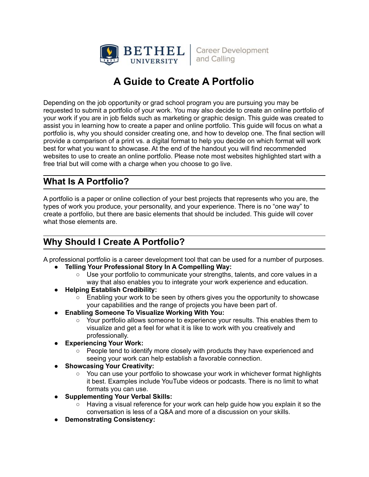

**Career Development** and Calling

# **A Guide to Create A Portfolio**

Depending on the job opportunity or grad school program you are pursuing you may be requested to submit a portfolio of your work. You may also decide to create an online portfolio of your work if you are in job fields such as marketing or graphic design. This guide was created to assist you in learning how to create a paper and online portfolio. This guide will focus on what a portfolio is, why you should consider creating one, and how to develop one. The final section will provide a comparison of a print vs. a digital format to help you decide on which format will work best for what you want to showcase. At the end of the handout you will find recommended websites to use to create an online portfolio. Please note most websites highlighted start with a free trial but will come with a charge when you choose to go live.

### **What Is A Portfolio?**

A portfolio is a paper or online collection of your best projects that represents who you are, the types of work you produce, your personality, and your experience. There is no "one way" to create a portfolio, but there are basic elements that should be included. This guide will cover what those elements are.

### **Why Should I Create A Portfolio?**

A professional portfolio is a career development tool that can be used for a number of purposes.

- **● Telling Your Professional Story In A Compelling Way:**
	- Use your portfolio to communicate your strengths, talents, and core values in a way that also enables you to integrate your work experience and education.
- **● Helping Establish Credibility:**
	- Enabling your work to be seen by others gives you the opportunity to showcase your capabilities and the range of projects you have been part of.
- **● Enabling Someone To Visualize Working With You:**
	- Your portfolio allows someone to experience your results. This enables them to visualize and get a feel for what it is like to work with you creatively and professionally.
- **● Experiencing Your Work:**
	- People tend to identify more closely with products they have experienced and seeing your work can help establish a favorable connection.
- **● Showcasing Your Creativity:**
	- You can use your portfolio to showcase your work in whichever format highlights it best. Examples include YouTube videos or podcasts. There is no limit to what formats you can use.
- **● Supplementing Your Verbal Skills:**
	- Having a visual reference for your work can help guide how you explain it so the conversation is less of a Q&A and more of a discussion on your skills.
- **● Demonstrating Consistency:**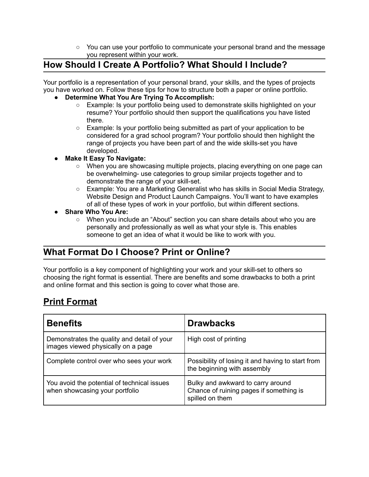○ You can use your portfolio to communicate your personal brand and the message you represent within your work.

## **How Should I Create A Portfolio? What Should I Include?**

Your portfolio is a representation of your personal brand, your skills, and the types of projects you have worked on. Follow these tips for how to structure both a paper or online portfolio.

#### **● Determine What You Are Trying To Accomplish:**

- Example: Is your portfolio being used to demonstrate skills highlighted on your resume? Your portfolio should then support the qualifications you have listed there.
- Example: Is your portfolio being submitted as part of your application to be considered for a grad school program? Your portfolio should then highlight the range of projects you have been part of and the wide skills-set you have developed.

#### **● Make It Easy To Navigate:**

- When you are showcasing multiple projects, placing everything on one page can be overwhelming- use categories to group similar projects together and to demonstrate the range of your skill-set.
- Example: You are a Marketing Generalist who has skills in Social Media Strategy, Website Design and Product Launch Campaigns. You'll want to have examples of all of these types of work in your portfolio, but within different sections.

#### **● Share Who You Are:**

○ When you include an "About" section you can share details about who you are personally and professionally as well as what your style is. This enables someone to get an idea of what it would be like to work with you.

### **What Format Do I Choose? Print or Online?**

Your portfolio is a key component of highlighting your work and your skill-set to others so choosing the right format is essential. There are benefits and some drawbacks to both a print and online format and this section is going to cover what those are.

# **Print Format**

| <b>Benefits</b>                                                                   | <b>Drawbacks</b>                                                                                |
|-----------------------------------------------------------------------------------|-------------------------------------------------------------------------------------------------|
| Demonstrates the quality and detail of your<br>images viewed physically on a page | High cost of printing                                                                           |
| Complete control over who sees your work                                          | Possibility of losing it and having to start from<br>the beginning with assembly                |
| You avoid the potential of technical issues<br>when showcasing your portfolio     | Bulky and awkward to carry around<br>Chance of ruining pages if something is<br>spilled on them |